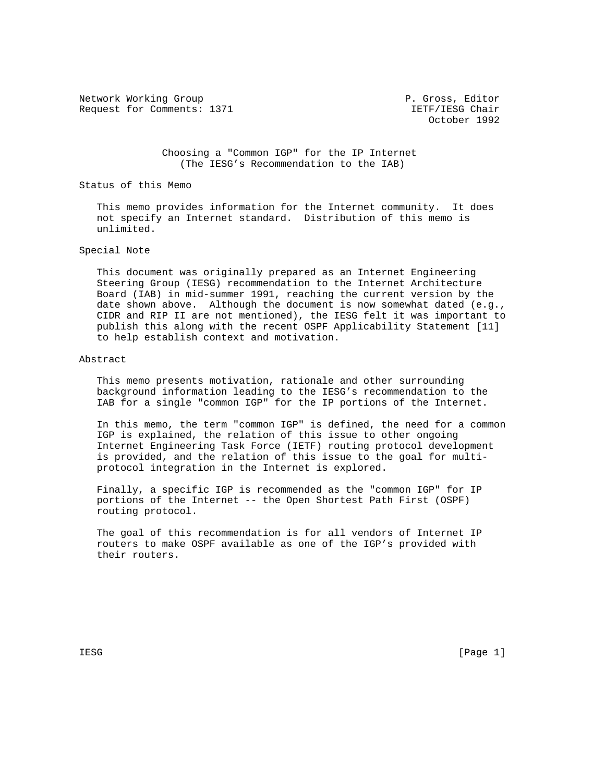Network Working Group **P. Gross, Editor** P. Gross, Editor Request for Comments: 1371 IETF/IESG Chair

October 1992

 Choosing a "Common IGP" for the IP Internet (The IESG's Recommendation to the IAB)

Status of this Memo

 This memo provides information for the Internet community. It does not specify an Internet standard. Distribution of this memo is unlimited.

## Special Note

 This document was originally prepared as an Internet Engineering Steering Group (IESG) recommendation to the Internet Architecture Board (IAB) in mid-summer 1991, reaching the current version by the date shown above. Although the document is now somewhat dated (e.g., CIDR and RIP II are not mentioned), the IESG felt it was important to publish this along with the recent OSPF Applicability Statement [11] to help establish context and motivation.

#### Abstract

 This memo presents motivation, rationale and other surrounding background information leading to the IESG's recommendation to the IAB for a single "common IGP" for the IP portions of the Internet.

 In this memo, the term "common IGP" is defined, the need for a common IGP is explained, the relation of this issue to other ongoing Internet Engineering Task Force (IETF) routing protocol development is provided, and the relation of this issue to the goal for multi protocol integration in the Internet is explored.

 Finally, a specific IGP is recommended as the "common IGP" for IP portions of the Internet -- the Open Shortest Path First (OSPF) routing protocol.

 The goal of this recommendation is for all vendors of Internet IP routers to make OSPF available as one of the IGP's provided with their routers.

IESG [Page 1]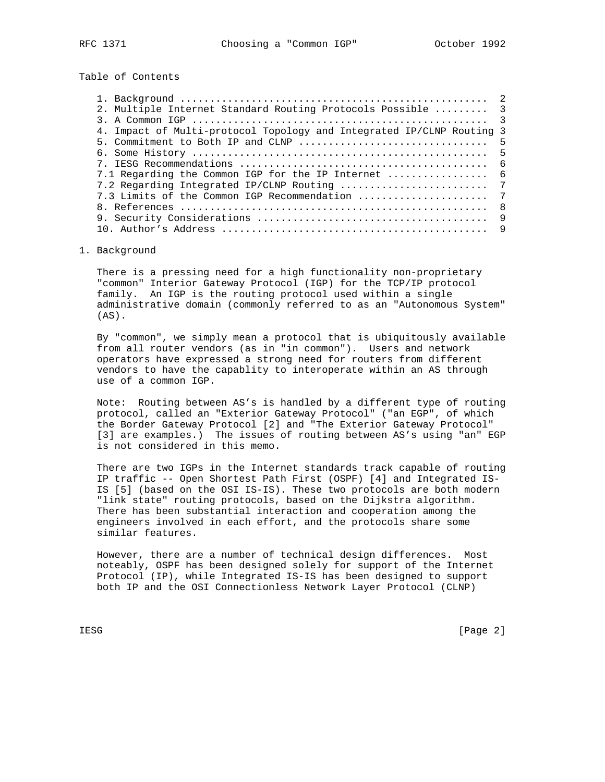Table of Contents

| 2. Multiple Internet Standard Routing Protocols Possible  3           |     |
|-----------------------------------------------------------------------|-----|
|                                                                       |     |
| 4. Impact of Multi-protocol Topology and Integrated IP/CLNP Routing 3 |     |
|                                                                       |     |
|                                                                       |     |
|                                                                       | - 6 |
| 7.1 Regarding the Common IGP for the IP Internet  6                   |     |
|                                                                       |     |
| 7.3 Limits of the Common IGP Recommendation                           | 7   |
|                                                                       | - 8 |
|                                                                       | - 9 |
|                                                                       |     |
|                                                                       |     |

## 1. Background

 There is a pressing need for a high functionality non-proprietary "common" Interior Gateway Protocol (IGP) for the TCP/IP protocol family. An IGP is the routing protocol used within a single administrative domain (commonly referred to as an "Autonomous System"  $(AS)$ .

 By "common", we simply mean a protocol that is ubiquitously available from all router vendors (as in "in common"). Users and network operators have expressed a strong need for routers from different vendors to have the capablity to interoperate within an AS through use of a common IGP.

 Note: Routing between AS's is handled by a different type of routing protocol, called an "Exterior Gateway Protocol" ("an EGP", of which the Border Gateway Protocol [2] and "The Exterior Gateway Protocol" [3] are examples.) The issues of routing between AS's using "an" EGP is not considered in this memo.

 There are two IGPs in the Internet standards track capable of routing IP traffic -- Open Shortest Path First (OSPF) [4] and Integrated IS- IS [5] (based on the OSI IS-IS). These two protocols are both modern "link state" routing protocols, based on the Dijkstra algorithm. There has been substantial interaction and cooperation among the engineers involved in each effort, and the protocols share some similar features.

 However, there are a number of technical design differences. Most noteably, OSPF has been designed solely for support of the Internet Protocol (IP), while Integrated IS-IS has been designed to support both IP and the OSI Connectionless Network Layer Protocol (CLNP)

IESG [Page 2]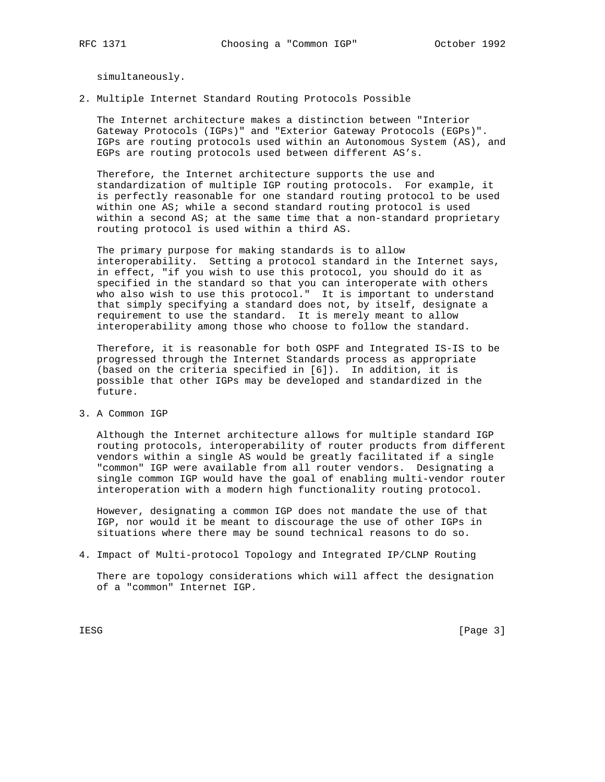simultaneously.

2. Multiple Internet Standard Routing Protocols Possible

 The Internet architecture makes a distinction between "Interior Gateway Protocols (IGPs)" and "Exterior Gateway Protocols (EGPs)". IGPs are routing protocols used within an Autonomous System (AS), and EGPs are routing protocols used between different AS's.

 Therefore, the Internet architecture supports the use and standardization of multiple IGP routing protocols. For example, it is perfectly reasonable for one standard routing protocol to be used within one AS; while a second standard routing protocol is used within a second AS; at the same time that a non-standard proprietary routing protocol is used within a third AS.

 The primary purpose for making standards is to allow interoperability. Setting a protocol standard in the Internet says, in effect, "if you wish to use this protocol, you should do it as specified in the standard so that you can interoperate with others who also wish to use this protocol." It is important to understand that simply specifying a standard does not, by itself, designate a requirement to use the standard. It is merely meant to allow interoperability among those who choose to follow the standard.

 Therefore, it is reasonable for both OSPF and Integrated IS-IS to be progressed through the Internet Standards process as appropriate (based on the criteria specified in [6]). In addition, it is possible that other IGPs may be developed and standardized in the future.

3. A Common IGP

 Although the Internet architecture allows for multiple standard IGP routing protocols, interoperability of router products from different vendors within a single AS would be greatly facilitated if a single "common" IGP were available from all router vendors. Designating a single common IGP would have the goal of enabling multi-vendor router interoperation with a modern high functionality routing protocol.

 However, designating a common IGP does not mandate the use of that IGP, nor would it be meant to discourage the use of other IGPs in situations where there may be sound technical reasons to do so.

4. Impact of Multi-protocol Topology and Integrated IP/CLNP Routing

 There are topology considerations which will affect the designation of a "common" Internet IGP.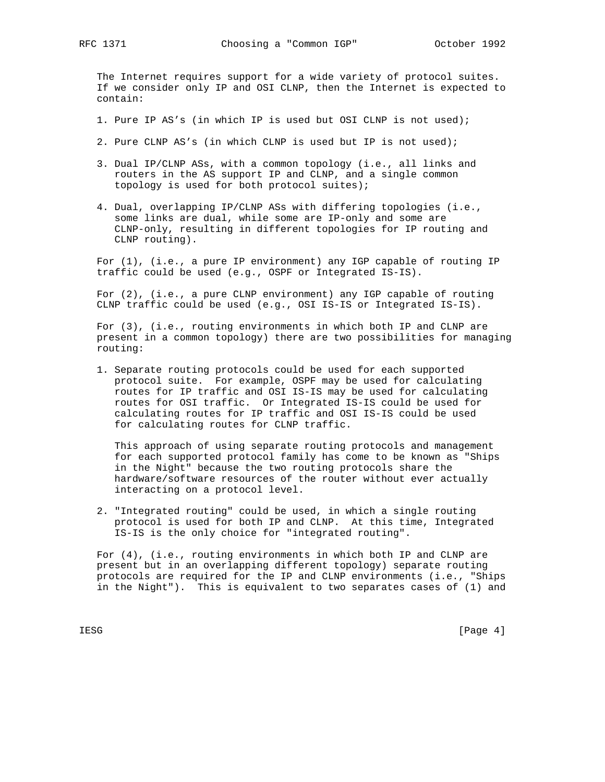The Internet requires support for a wide variety of protocol suites. If we consider only IP and OSI CLNP, then the Internet is expected to contain:

- 1. Pure IP AS's (in which IP is used but OSI CLNP is not used);
- 2. Pure CLNP AS's (in which CLNP is used but IP is not used);
- 3. Dual IP/CLNP ASs, with a common topology (i.e., all links and routers in the AS support IP and CLNP, and a single common topology is used for both protocol suites);
- 4. Dual, overlapping IP/CLNP ASs with differing topologies (i.e., some links are dual, while some are IP-only and some are CLNP-only, resulting in different topologies for IP routing and CLNP routing).

 For (1), (i.e., a pure IP environment) any IGP capable of routing IP traffic could be used (e.g., OSPF or Integrated IS-IS).

For (2), (i.e., a pure CLNP environment) any IGP capable of routing CLNP traffic could be used (e.g., OSI IS-IS or Integrated IS-IS).

 For (3), (i.e., routing environments in which both IP and CLNP are present in a common topology) there are two possibilities for managing routing:

 1. Separate routing protocols could be used for each supported protocol suite. For example, OSPF may be used for calculating routes for IP traffic and OSI IS-IS may be used for calculating routes for OSI traffic. Or Integrated IS-IS could be used for calculating routes for IP traffic and OSI IS-IS could be used for calculating routes for CLNP traffic.

 This approach of using separate routing protocols and management for each supported protocol family has come to be known as "Ships in the Night" because the two routing protocols share the hardware/software resources of the router without ever actually interacting on a protocol level.

 2. "Integrated routing" could be used, in which a single routing protocol is used for both IP and CLNP. At this time, Integrated IS-IS is the only choice for "integrated routing".

 For (4), (i.e., routing environments in which both IP and CLNP are present but in an overlapping different topology) separate routing protocols are required for the IP and CLNP environments (i.e., "Ships in the Night"). This is equivalent to two separates cases of (1) and

IESG [Page 4]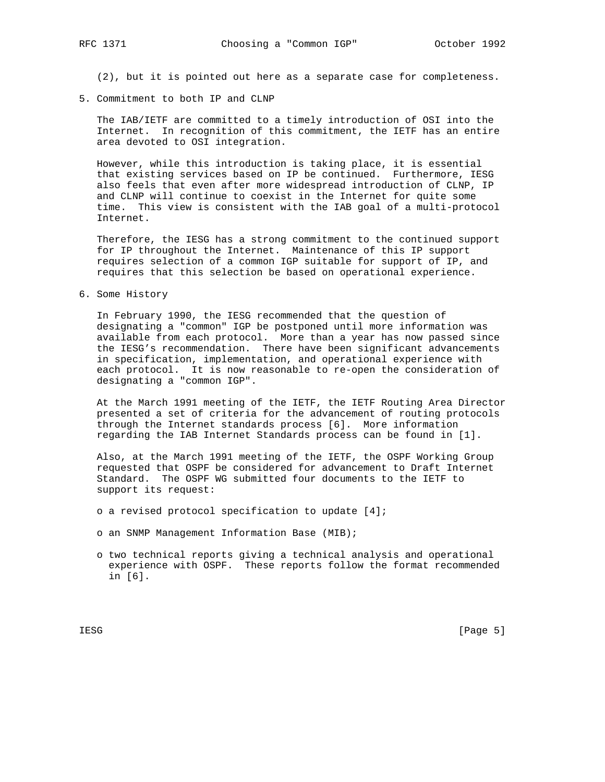(2), but it is pointed out here as a separate case for completeness.

#### 5. Commitment to both IP and CLNP

 The IAB/IETF are committed to a timely introduction of OSI into the Internet. In recognition of this commitment, the IETF has an entire area devoted to OSI integration.

 However, while this introduction is taking place, it is essential that existing services based on IP be continued. Furthermore, IESG also feels that even after more widespread introduction of CLNP, IP and CLNP will continue to coexist in the Internet for quite some time. This view is consistent with the IAB goal of a multi-protocol Internet.

 Therefore, the IESG has a strong commitment to the continued support for IP throughout the Internet. Maintenance of this IP support requires selection of a common IGP suitable for support of IP, and requires that this selection be based on operational experience.

6. Some History

 In February 1990, the IESG recommended that the question of designating a "common" IGP be postponed until more information was available from each protocol. More than a year has now passed since the IESG's recommendation. There have been significant advancements in specification, implementation, and operational experience with each protocol. It is now reasonable to re-open the consideration of designating a "common IGP".

 At the March 1991 meeting of the IETF, the IETF Routing Area Director presented a set of criteria for the advancement of routing protocols through the Internet standards process [6]. More information regarding the IAB Internet Standards process can be found in [1].

 Also, at the March 1991 meeting of the IETF, the OSPF Working Group requested that OSPF be considered for advancement to Draft Internet Standard. The OSPF WG submitted four documents to the IETF to support its request:

- o a revised protocol specification to update [4];
- o an SNMP Management Information Base (MIB);
- o two technical reports giving a technical analysis and operational experience with OSPF. These reports follow the format recommended in [6].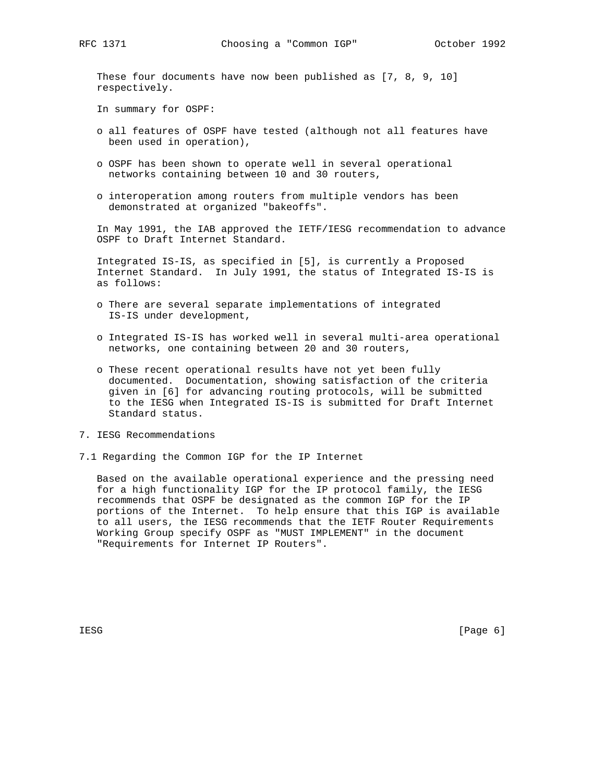These four documents have now been published as [7, 8, 9, 10] respectively.

In summary for OSPF:

- o all features of OSPF have tested (although not all features have been used in operation),
- o OSPF has been shown to operate well in several operational networks containing between 10 and 30 routers,
- o interoperation among routers from multiple vendors has been demonstrated at organized "bakeoffs".

 In May 1991, the IAB approved the IETF/IESG recommendation to advance OSPF to Draft Internet Standard.

 Integrated IS-IS, as specified in [5], is currently a Proposed Internet Standard. In July 1991, the status of Integrated IS-IS is as follows:

- o There are several separate implementations of integrated IS-IS under development,
- o Integrated IS-IS has worked well in several multi-area operational networks, one containing between 20 and 30 routers,
- o These recent operational results have not yet been fully documented. Documentation, showing satisfaction of the criteria given in [6] for advancing routing protocols, will be submitted to the IESG when Integrated IS-IS is submitted for Draft Internet Standard status.
- 7. IESG Recommendations
- 7.1 Regarding the Common IGP for the IP Internet

 Based on the available operational experience and the pressing need for a high functionality IGP for the IP protocol family, the IESG recommends that OSPF be designated as the common IGP for the IP portions of the Internet. To help ensure that this IGP is available to all users, the IESG recommends that the IETF Router Requirements Working Group specify OSPF as "MUST IMPLEMENT" in the document "Requirements for Internet IP Routers".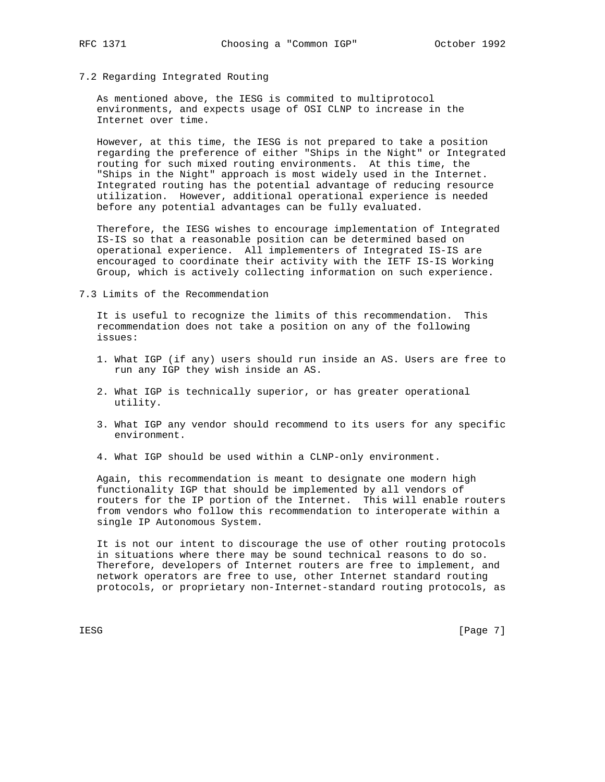7.2 Regarding Integrated Routing

 As mentioned above, the IESG is commited to multiprotocol environments, and expects usage of OSI CLNP to increase in the Internet over time.

 However, at this time, the IESG is not prepared to take a position regarding the preference of either "Ships in the Night" or Integrated routing for such mixed routing environments. At this time, the "Ships in the Night" approach is most widely used in the Internet. Integrated routing has the potential advantage of reducing resource utilization. However, additional operational experience is needed before any potential advantages can be fully evaluated.

 Therefore, the IESG wishes to encourage implementation of Integrated IS-IS so that a reasonable position can be determined based on operational experience. All implementers of Integrated IS-IS are encouraged to coordinate their activity with the IETF IS-IS Working Group, which is actively collecting information on such experience.

7.3 Limits of the Recommendation

 It is useful to recognize the limits of this recommendation. This recommendation does not take a position on any of the following issues:

- 1. What IGP (if any) users should run inside an AS. Users are free to run any IGP they wish inside an AS.
- 2. What IGP is technically superior, or has greater operational utility.
- 3. What IGP any vendor should recommend to its users for any specific environment.
- 4. What IGP should be used within a CLNP-only environment.

 Again, this recommendation is meant to designate one modern high functionality IGP that should be implemented by all vendors of routers for the IP portion of the Internet. This will enable routers from vendors who follow this recommendation to interoperate within a single IP Autonomous System.

 It is not our intent to discourage the use of other routing protocols in situations where there may be sound technical reasons to do so. Therefore, developers of Internet routers are free to implement, and network operators are free to use, other Internet standard routing protocols, or proprietary non-Internet-standard routing protocols, as

IESG [Page 7]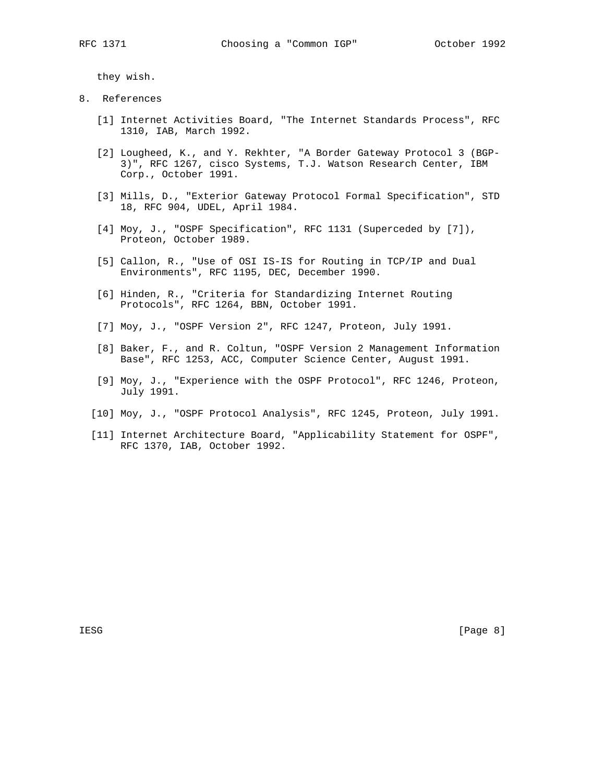they wish.

- 8. References
	- [1] Internet Activities Board, "The Internet Standards Process", RFC 1310, IAB, March 1992.
	- [2] Lougheed, K., and Y. Rekhter, "A Border Gateway Protocol 3 (BGP- 3)", RFC 1267, cisco Systems, T.J. Watson Research Center, IBM Corp., October 1991.
	- [3] Mills, D., "Exterior Gateway Protocol Formal Specification", STD 18, RFC 904, UDEL, April 1984.
	- [4] Moy, J., "OSPF Specification", RFC 1131 (Superceded by [7]), Proteon, October 1989.
	- [5] Callon, R., "Use of OSI IS-IS for Routing in TCP/IP and Dual Environments", RFC 1195, DEC, December 1990.
	- [6] Hinden, R., "Criteria for Standardizing Internet Routing Protocols", RFC 1264, BBN, October 1991.
	- [7] Moy, J., "OSPF Version 2", RFC 1247, Proteon, July 1991.
	- [8] Baker, F., and R. Coltun, "OSPF Version 2 Management Information Base", RFC 1253, ACC, Computer Science Center, August 1991.
	- [9] Moy, J., "Experience with the OSPF Protocol", RFC 1246, Proteon, July 1991.
	- [10] Moy, J., "OSPF Protocol Analysis", RFC 1245, Proteon, July 1991.
	- [11] Internet Architecture Board, "Applicability Statement for OSPF", RFC 1370, IAB, October 1992.